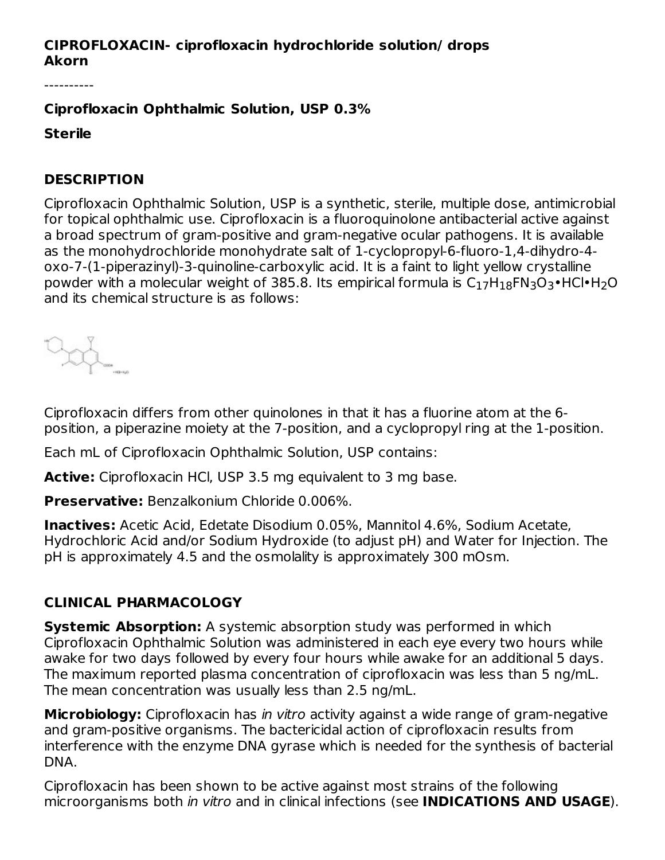## **CIPROFLOXACIN- ciprofloxacin hydrochloride solution/ drops Akorn**

----------

#### **Ciprofloxacin Ophthalmic Solution, USP 0.3%**

**Sterile**

#### **DESCRIPTION**

Ciprofloxacin Ophthalmic Solution, USP is a synthetic, sterile, multiple dose, antimicrobial for topical ophthalmic use. Ciprofloxacin is a fluoroquinolone antibacterial active against a broad spectrum of gram-positive and gram-negative ocular pathogens. It is available as the monohydrochloride monohydrate salt of 1-cyclopropyl-6-fluoro-1,4-dihydro-4 oxo-7-(1-piperazinyl)-3-quinoline-carboxylic acid. It is a faint to light yellow crystalline powder with a molecular weight of 385.8. Its empirical formula is  $\mathsf{C}_{17}\mathsf{H}_{18}\mathsf{FN}_3\mathsf{O}_3\bullet\mathsf{HCl}\bullet\mathsf{H}_2\mathsf{O}$ and its chemical structure is as follows:

 $\bigoplus_{n=1}^{\infty}$ 

Ciprofloxacin differs from other quinolones in that it has a fluorine atom at the 6 position, a piperazine moiety at the 7-position, and a cyclopropyl ring at the 1-position.

Each mL of Ciprofloxacin Ophthalmic Solution, USP contains:

**Active:** Ciprofloxacin HCl, USP 3.5 mg equivalent to 3 mg base.

**Preservative:** Benzalkonium Chloride 0.006%.

**Inactives:** Acetic Acid, Edetate Disodium 0.05%, Mannitol 4.6%, Sodium Acetate, Hydrochloric Acid and/or Sodium Hydroxide (to adjust pH) and Water for Injection. The pH is approximately 4.5 and the osmolality is approximately 300 mOsm.

## **CLINICAL PHARMACOLOGY**

**Systemic Absorption:** A systemic absorption study was performed in which Ciprofloxacin Ophthalmic Solution was administered in each eye every two hours while awake for two days followed by every four hours while awake for an additional 5 days. The maximum reported plasma concentration of ciprofloxacin was less than 5 ng/mL. The mean concentration was usually less than 2.5 ng/mL.

**Microbiology:** Ciprofloxacin has in vitro activity against a wide range of gram-negative and gram-positive organisms. The bactericidal action of ciprofloxacin results from interference with the enzyme DNA gyrase which is needed for the synthesis of bacterial DNA.

Ciprofloxacin has been shown to be active against most strains of the following microorganisms both in vitro and in clinical infections (see **INDICATIONS AND USAGE**).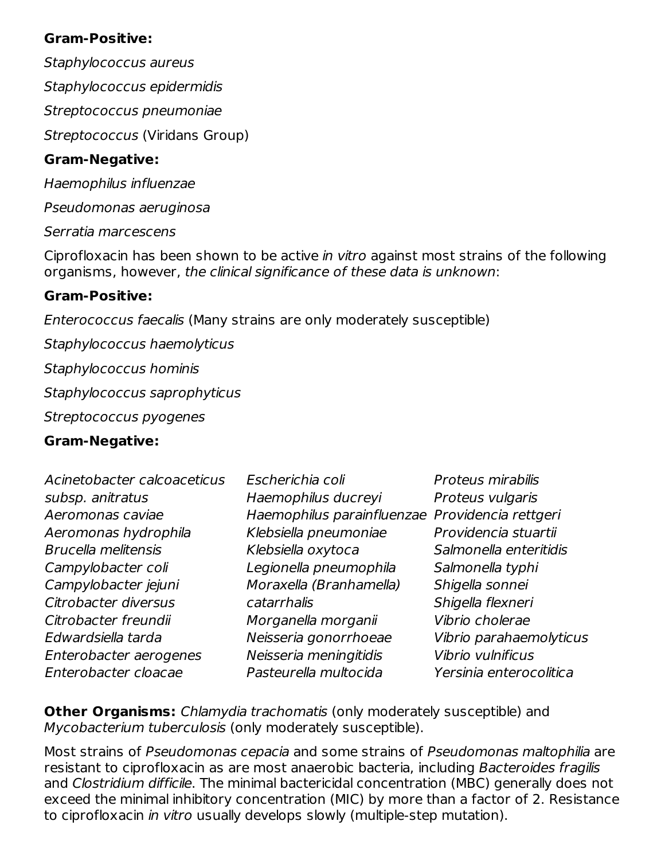#### **Gram-Positive:**

Staphylococcus aureus

Staphylococcus epidermidis

Streptococcus pneumoniae

Streptococcus (Viridans Group)

#### **Gram-Negative:**

Haemophilus influenzae

Pseudomonas aeruginosa

Serratia marcescens

Ciprofloxacin has been shown to be active in vitro against most strains of the following organisms, however, the clinical significance of these data is unknown:

## **Gram-Positive:**

Enterococcus faecalis (Many strains are only moderately susceptible)

Staphylococcus haemolyticus Staphylococcus hominis Staphylococcus saprophyticus Streptococcus pyogenes

## **Gram-Negative:**

| Acinetobacter calcoaceticus | Escherichia coli                                | Proteus mirabilis       |
|-----------------------------|-------------------------------------------------|-------------------------|
| subsp. anitratus            | Haemophilus ducreyi                             | Proteus vulgaris        |
| Aeromonas caviae            | Haemophilus parainfluenzae Providencia rettgeri |                         |
| Aeromonas hydrophila        | Klebsiella pneumoniae                           | Providencia stuartii    |
| <b>Brucella melitensis</b>  | Klebsiella oxytoca                              | Salmonella enteritidis  |
| Campylobacter coli          | Legionella pneumophila                          | Salmonella typhi        |
| Campylobacter jejuni        | Moraxella (Branhamella)                         | Shigella sonnei         |
| Citrobacter diversus        | catarrhalis                                     | Shigella flexneri       |
| Citrobacter freundii        | Morganella morganii                             | Vibrio cholerae         |
| Edwardsiella tarda          | Neisseria gonorrhoeae                           | Vibrio parahaemolyticus |
| Enterobacter aerogenes      | Neisseria meningitidis                          | Vibrio vulnificus       |
| Enterobacter cloacae        | Pasteurella multocida                           | Yersinia enterocolitica |

**Other Organisms:** Chlamydia trachomatis (only moderately susceptible) and Mycobacterium tuberculosis (only moderately susceptible).

Most strains of Pseudomonas cepacia and some strains of Pseudomonas maltophilia are resistant to ciprofloxacin as are most anaerobic bacteria, including Bacteroides fragilis and Clostridium difficile. The minimal bactericidal concentration (MBC) generally does not exceed the minimal inhibitory concentration (MIC) by more than a factor of 2. Resistance to ciprofloxacin *in vitro* usually develops slowly (multiple-step mutation).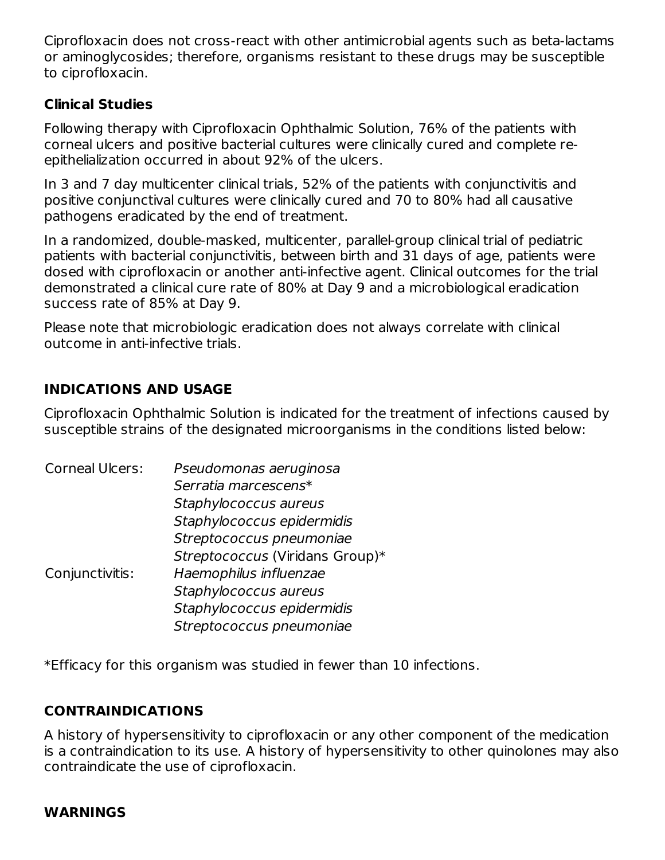Ciprofloxacin does not cross-react with other antimicrobial agents such as beta-lactams or aminoglycosides; therefore, organisms resistant to these drugs may be susceptible to ciprofloxacin.

## **Clinical Studies**

Following therapy with Ciprofloxacin Ophthalmic Solution, 76% of the patients with corneal ulcers and positive bacterial cultures were clinically cured and complete reepithelialization occurred in about 92% of the ulcers.

In 3 and 7 day multicenter clinical trials, 52% of the patients with conjunctivitis and positive conjunctival cultures were clinically cured and 70 to 80% had all causative pathogens eradicated by the end of treatment.

In a randomized, double-masked, multicenter, parallel-group clinical trial of pediatric patients with bacterial conjunctivitis, between birth and 31 days of age, patients were dosed with ciprofloxacin or another anti-infective agent. Clinical outcomes for the trial demonstrated a clinical cure rate of 80% at Day 9 and a microbiological eradication success rate of 85% at Day 9.

Please note that microbiologic eradication does not always correlate with clinical outcome in anti-infective trials.

## **INDICATIONS AND USAGE**

Ciprofloxacin Ophthalmic Solution is indicated for the treatment of infections caused by susceptible strains of the designated microorganisms in the conditions listed below:

| <b>Corneal Ulcers:</b> | Pseudomonas aeruginosa          |
|------------------------|---------------------------------|
|                        | Serratia marcescens*            |
|                        | Staphylococcus aureus           |
|                        | Staphylococcus epidermidis      |
|                        | Streptococcus pneumoniae        |
|                        | Streptococcus (Viridans Group)* |
| Conjunctivitis:        | Haemophilus influenzae          |
|                        | Staphylococcus aureus           |
|                        | Staphylococcus epidermidis      |
|                        | Streptococcus pneumoniae        |

\*Efficacy for this organism was studied in fewer than 10 infections.

## **CONTRAINDICATIONS**

A history of hypersensitivity to ciprofloxacin or any other component of the medication is a contraindication to its use. A history of hypersensitivity to other quinolones may also contraindicate the use of ciprofloxacin.

#### **WARNINGS**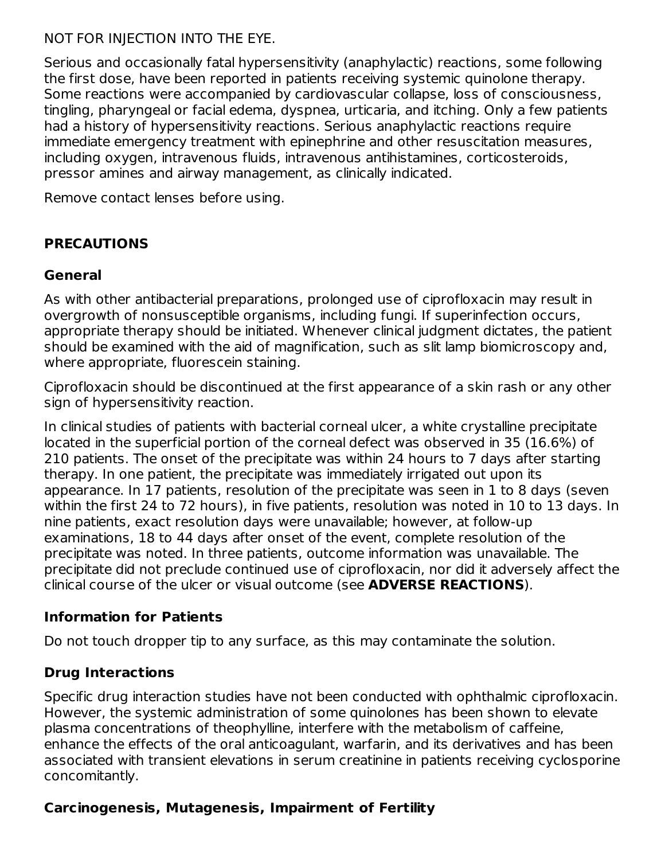NOT FOR INJECTION INTO THE EYE.

Serious and occasionally fatal hypersensitivity (anaphylactic) reactions, some following the first dose, have been reported in patients receiving systemic quinolone therapy. Some reactions were accompanied by cardiovascular collapse, loss of consciousness, tingling, pharyngeal or facial edema, dyspnea, urticaria, and itching. Only a few patients had a history of hypersensitivity reactions. Serious anaphylactic reactions require immediate emergency treatment with epinephrine and other resuscitation measures, including oxygen, intravenous fluids, intravenous antihistamines, corticosteroids, pressor amines and airway management, as clinically indicated.

Remove contact lenses before using.

# **PRECAUTIONS**

## **General**

As with other antibacterial preparations, prolonged use of ciprofloxacin may result in overgrowth of nonsusceptible organisms, including fungi. If superinfection occurs, appropriate therapy should be initiated. Whenever clinical judgment dictates, the patient should be examined with the aid of magnification, such as slit lamp biomicroscopy and, where appropriate, fluorescein staining.

Ciprofloxacin should be discontinued at the first appearance of a skin rash or any other sign of hypersensitivity reaction.

In clinical studies of patients with bacterial corneal ulcer, a white crystalline precipitate located in the superficial portion of the corneal defect was observed in 35 (16.6%) of 210 patients. The onset of the precipitate was within 24 hours to 7 days after starting therapy. In one patient, the precipitate was immediately irrigated out upon its appearance. In 17 patients, resolution of the precipitate was seen in 1 to 8 days (seven within the first 24 to 72 hours), in five patients, resolution was noted in 10 to 13 days. In nine patients, exact resolution days were unavailable; however, at follow-up examinations, 18 to 44 days after onset of the event, complete resolution of the precipitate was noted. In three patients, outcome information was unavailable. The precipitate did not preclude continued use of ciprofloxacin, nor did it adversely affect the clinical course of the ulcer or visual outcome (see **ADVERSE REACTIONS**).

## **Information for Patients**

Do not touch dropper tip to any surface, as this may contaminate the solution.

## **Drug Interactions**

Specific drug interaction studies have not been conducted with ophthalmic ciprofloxacin. However, the systemic administration of some quinolones has been shown to elevate plasma concentrations of theophylline, interfere with the metabolism of caffeine, enhance the effects of the oral anticoagulant, warfarin, and its derivatives and has been associated with transient elevations in serum creatinine in patients receiving cyclosporine concomitantly.

## **Carcinogenesis, Mutagenesis, Impairment of Fertility**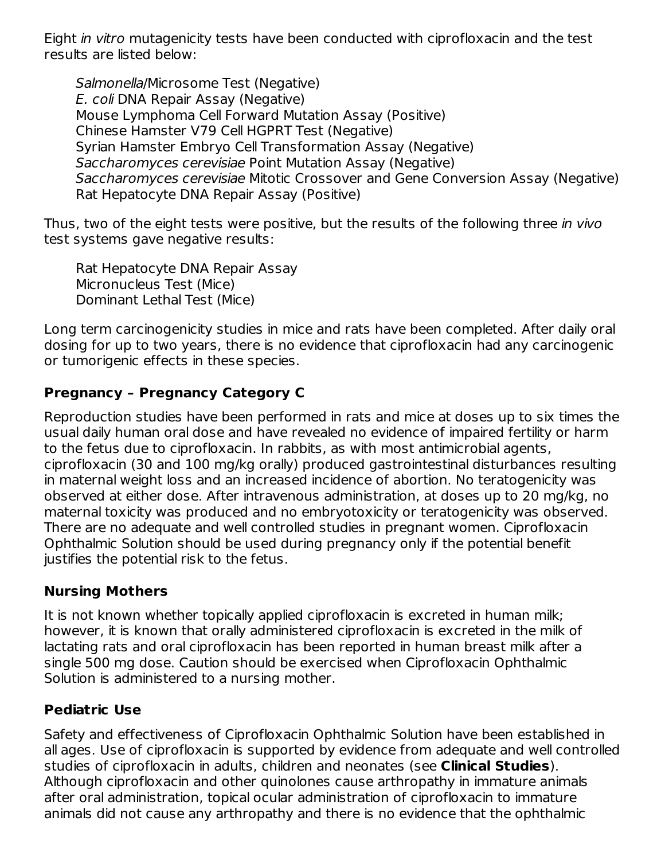Eight in vitro mutagenicity tests have been conducted with ciprofloxacin and the test results are listed below:

Salmonella/Microsome Test (Negative) E. coli DNA Repair Assay (Negative) Mouse Lymphoma Cell Forward Mutation Assay (Positive) Chinese Hamster V79 Cell HGPRT Test (Negative) Syrian Hamster Embryo Cell Transformation Assay (Negative) Saccharomyces cerevisiae Point Mutation Assay (Negative) Saccharomyces cerevisiae Mitotic Crossover and Gene Conversion Assay (Negative) Rat Hepatocyte DNA Repair Assay (Positive)

Thus, two of the eight tests were positive, but the results of the following three in vivo test systems gave negative results:

Rat Hepatocyte DNA Repair Assay Micronucleus Test (Mice) Dominant Lethal Test (Mice)

Long term carcinogenicity studies in mice and rats have been completed. After daily oral dosing for up to two years, there is no evidence that ciprofloxacin had any carcinogenic or tumorigenic effects in these species.

## **Pregnancy – Pregnancy Category C**

Reproduction studies have been performed in rats and mice at doses up to six times the usual daily human oral dose and have revealed no evidence of impaired fertility or harm to the fetus due to ciprofloxacin. In rabbits, as with most antimicrobial agents, ciprofloxacin (30 and 100 mg/kg orally) produced gastrointestinal disturbances resulting in maternal weight loss and an increased incidence of abortion. No teratogenicity was observed at either dose. After intravenous administration, at doses up to 20 mg/kg, no maternal toxicity was produced and no embryotoxicity or teratogenicity was observed. There are no adequate and well controlled studies in pregnant women. Ciprofloxacin Ophthalmic Solution should be used during pregnancy only if the potential benefit justifies the potential risk to the fetus.

#### **Nursing Mothers**

It is not known whether topically applied ciprofloxacin is excreted in human milk; however, it is known that orally administered ciprofloxacin is excreted in the milk of lactating rats and oral ciprofloxacin has been reported in human breast milk after a single 500 mg dose. Caution should be exercised when Ciprofloxacin Ophthalmic Solution is administered to a nursing mother.

## **Pediatric Use**

Safety and effectiveness of Ciprofloxacin Ophthalmic Solution have been established in all ages. Use of ciprofloxacin is supported by evidence from adequate and well controlled studies of ciprofloxacin in adults, children and neonates (see **Clinical Studies**). Although ciprofloxacin and other quinolones cause arthropathy in immature animals after oral administration, topical ocular administration of ciprofloxacin to immature animals did not cause any arthropathy and there is no evidence that the ophthalmic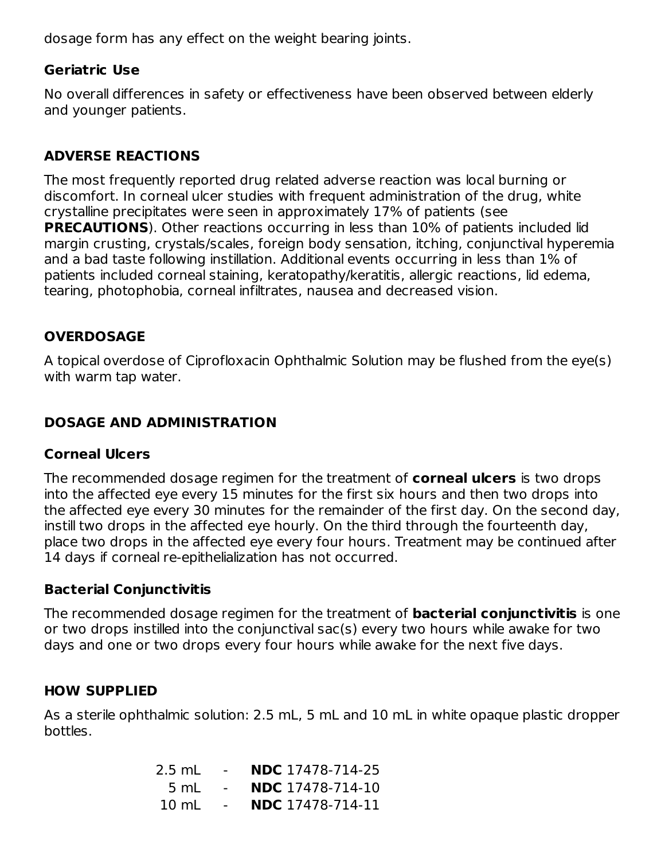dosage form has any effect on the weight bearing joints.

## **Geriatric Use**

No overall differences in safety or effectiveness have been observed between elderly and younger patients.

## **ADVERSE REACTIONS**

The most frequently reported drug related adverse reaction was local burning or discomfort. In corneal ulcer studies with frequent administration of the drug, white crystalline precipitates were seen in approximately 17% of patients (see **PRECAUTIONS**). Other reactions occurring in less than 10% of patients included lid margin crusting, crystals/scales, foreign body sensation, itching, conjunctival hyperemia and a bad taste following instillation. Additional events occurring in less than 1% of patients included corneal staining, keratopathy/keratitis, allergic reactions, lid edema, tearing, photophobia, corneal infiltrates, nausea and decreased vision.

## **OVERDOSAGE**

A topical overdose of Ciprofloxacin Ophthalmic Solution may be flushed from the eye(s) with warm tap water.

## **DOSAGE AND ADMINISTRATION**

#### **Corneal Ulcers**

The recommended dosage regimen for the treatment of **corneal ulcers** is two drops into the affected eye every 15 minutes for the first six hours and then two drops into the affected eye every 30 minutes for the remainder of the first day. On the second day, instill two drops in the affected eye hourly. On the third through the fourteenth day, place two drops in the affected eye every four hours. Treatment may be continued after 14 days if corneal re-epithelialization has not occurred.

#### **Bacterial Conjunctivitis**

The recommended dosage regimen for the treatment of **bacterial conjunctivitis** is one or two drops instilled into the conjunctival sac(s) every two hours while awake for two days and one or two drops every four hours while awake for the next five days.

#### **HOW SUPPLIED**

As a sterile ophthalmic solution: 2.5 mL, 5 mL and 10 mL in white opaque plastic dropper bottles.

| 2.5 mL |                          | <b>NDC</b> 17478-714-25 |
|--------|--------------------------|-------------------------|
| 5 mL   | $\overline{\phantom{0}}$ | <b>NDC</b> 17478-714-10 |
| 10 mL  |                          | <b>NDC</b> 17478-714-11 |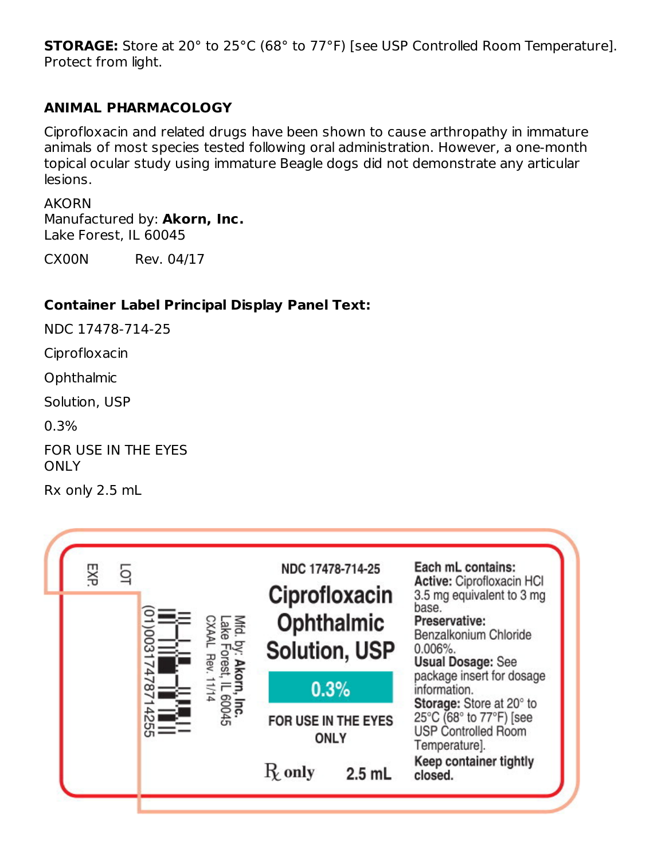**STORAGE:** Store at 20° to 25°C (68° to 77°F) [see USP Controlled Room Temperature]. Protect from light.

## **ANIMAL PHARMACOLOGY**

Ciprofloxacin and related drugs have been shown to cause arthropathy in immature animals of most species tested following oral administration. However, a one-month topical ocular study using immature Beagle dogs did not demonstrate any articular lesions.

AKORN Manufactured by: **Akorn, Inc.** Lake Forest, IL 60045

CX00N Rev. 04/17

## **Container Label Principal Display Panel Text:**

NDC 17478-714-25

Ciprofloxacin

**Ophthalmic** 

Solution, USP

0.3%

FOR USE IN THE EYES **ONLY** 

Rx only 2.5 mL

| EXP | ģ     |                    | NDC 17478-714-25<br>Ciprofloxacin  | Each mL contains:<br>Active: Ciprofloxacin HCl<br>3.5 mg equivalent to 3 mg                |
|-----|-------|--------------------|------------------------------------|--------------------------------------------------------------------------------------------|
|     |       | Mfd.<br>Lake<br>ņŞ | Ophthalmic<br><b>Solution, USP</b> | base.<br>Preservative:<br>Benzalkonium Chloride<br>$0.006\%$ .<br><b>Usual Dosage: See</b> |
|     | 74787 |                    | 0.3%                               | package insert for dosage<br>information.<br>Storage: Store at 20° to                      |
|     |       | lnc.<br>60045      | FOR USE IN THE EYES<br><b>ONLY</b> | 25°C (68° to 77°F) [see<br><b>USP Controlled Room</b><br>Temperature].                     |
|     |       |                    | $R_{\rm o}$ only<br>$2.5$ mL       | Keep container tightly<br>closed.                                                          |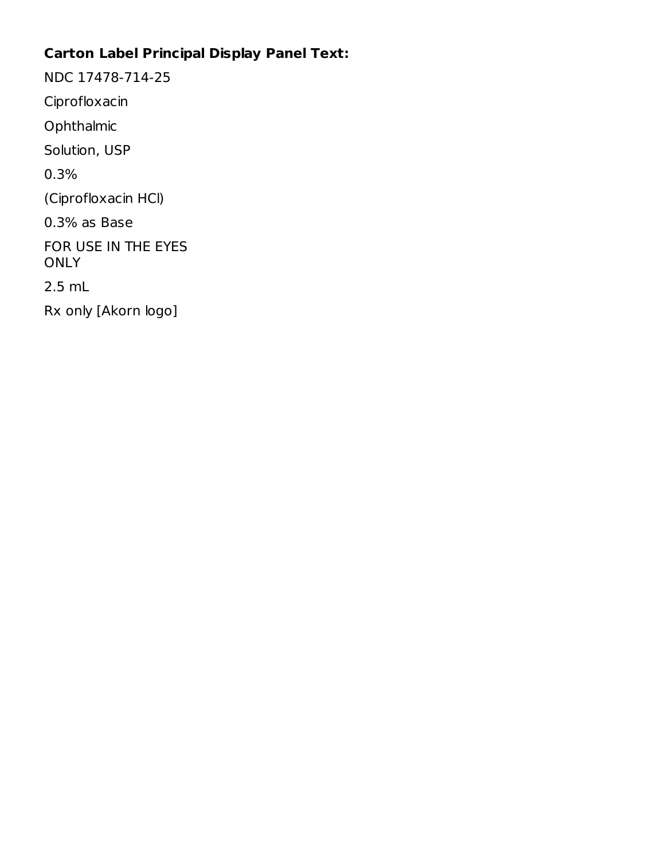# **Carton Label Principal Display Panel Text:**

NDC 17478-714-25

Ciprofloxacin

Ophthalmic

Solution, USP

0.3%

(Ciprofloxacin HCl)

0.3% as Base

FOR USE IN THE EYES **ONLY** 

2.5 mL

Rx only [Akorn logo]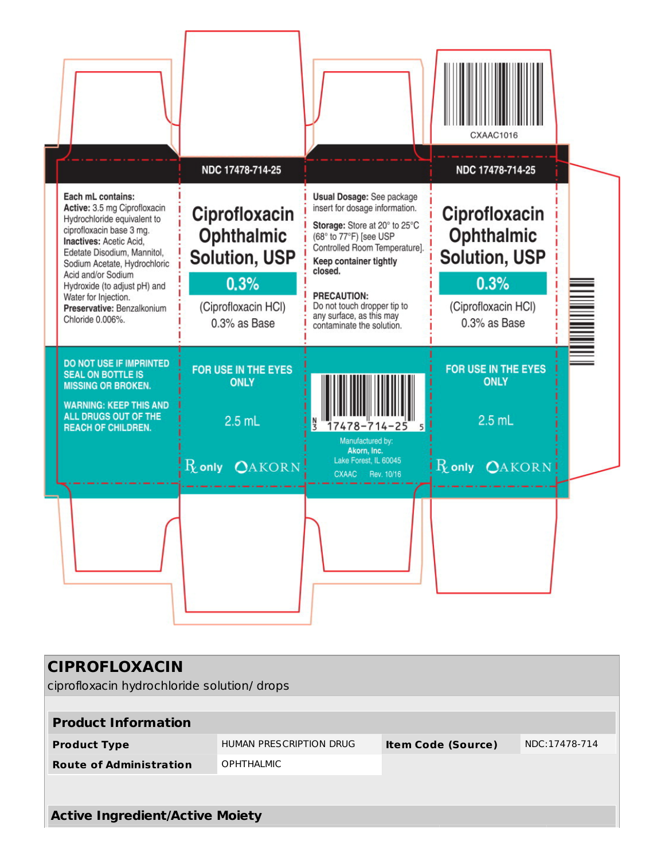

| <b>CIPROFLOXACIN</b><br>ciprofloxacin hydrochloride solution/ drops |                         |                           |               |  |
|---------------------------------------------------------------------|-------------------------|---------------------------|---------------|--|
| <b>Product Information</b>                                          |                         |                           |               |  |
| <b>Product Type</b>                                                 | HUMAN PRESCRIPTION DRUG | <b>Item Code (Source)</b> | NDC:17478-714 |  |
| <b>Route of Administration</b>                                      | <b>OPHTHALMIC</b>       |                           |               |  |
|                                                                     |                         |                           |               |  |
| <b>Active Ingredient/Active Moiety</b>                              |                         |                           |               |  |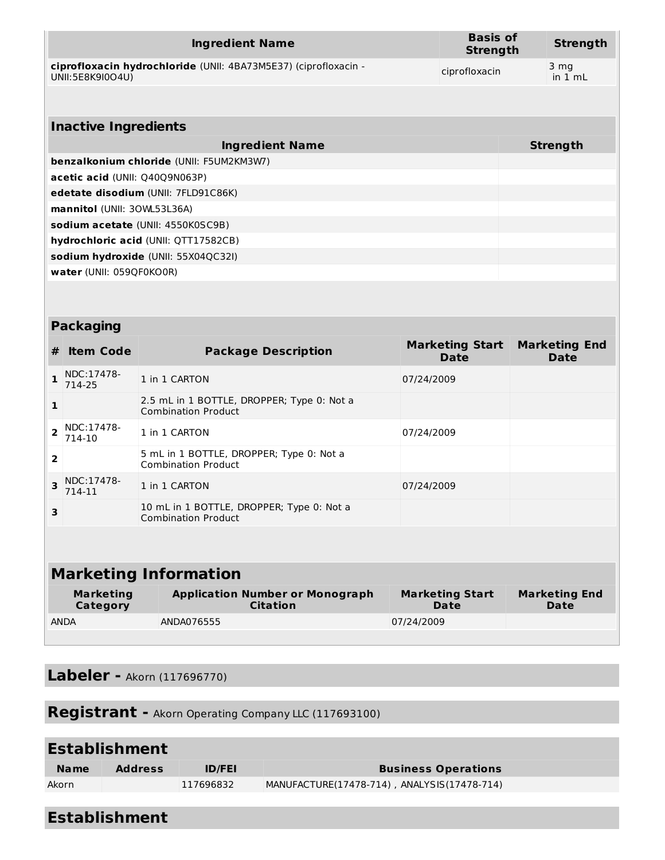| <b>Ingredient Name</b>                                                              | <b>Basis of</b><br><b>Strength</b> | Strength        |
|-------------------------------------------------------------------------------------|------------------------------------|-----------------|
| ciprofloxacin hydrochloride (UNII: 4BA73M5E37) (ciprofloxacin -<br>UNII:5E8K9I0O4U) | ciprofloxacin                      | 3 mg<br>in 1 mL |
|                                                                                     |                                    |                 |

| <b>Inactive Ingredients</b>              |                 |  |
|------------------------------------------|-----------------|--|
| <b>Ingredient Name</b>                   | <b>Strength</b> |  |
| benzalkonium chloride (UNII: F5UM2KM3W7) |                 |  |
| acetic acid (UNII: Q40Q9N063P)           |                 |  |
| edetate disodium (UNII: 7FLD91C86K)      |                 |  |
| mannitol (UNII: 30WL53L36A)              |                 |  |
| sodium acetate (UNII: 4550K0SC9B)        |                 |  |
| hydrochloric acid (UNII: QTT17582CB)     |                 |  |
| sodium hydroxide (UNII: 55X04QC32I)      |                 |  |
| water (UNII: 0590F0KO0R)                 |                 |  |

# **Packaging**

| #                                               | <b>Item Code</b>     | <b>Package Description</b>                                               | <b>Marketing Start</b><br><b>Date</b> | <b>Marketing End</b><br><b>Date</b> |  |  |
|-------------------------------------------------|----------------------|--------------------------------------------------------------------------|---------------------------------------|-------------------------------------|--|--|
|                                                 | NDC:17478-<br>714-25 | 1 in 1 CARTON                                                            | 07/24/2009                            |                                     |  |  |
| 1                                               |                      | 2.5 mL in 1 BOTTLE, DROPPER; Type 0: Not a<br><b>Combination Product</b> |                                       |                                     |  |  |
| $\overline{\phantom{a}}$                        | NDC:17478-<br>714-10 | 1 in 1 CARTON                                                            | 07/24/2009                            |                                     |  |  |
| $\overline{2}$                                  |                      | 5 mL in 1 BOTTLE, DROPPER; Type 0: Not a<br><b>Combination Product</b>   |                                       |                                     |  |  |
| 3                                               | NDC:17478-<br>714-11 | 1 in 1 CARTON                                                            | 07/24/2009                            |                                     |  |  |
| 3                                               |                      | 10 mL in 1 BOTTLE, DROPPER; Type 0: Not a<br><b>Combination Product</b>  |                                       |                                     |  |  |
|                                                 |                      |                                                                          |                                       |                                     |  |  |
| <b>Marketing Information</b>                    |                      |                                                                          |                                       |                                     |  |  |
| <b>Marketing</b><br><b>Citation</b><br>Category |                      | <b>Application Number or Monograph</b>                                   | <b>Marketing Start</b><br>Date        | <b>Marketing End</b><br>Date        |  |  |
|                                                 | <b>ANDA</b>          | ANDA076555                                                               | 07/24/2009                            |                                     |  |  |

# **Labeler -** Akorn (117696770)

**Registrant -** Akorn Operating Company LLC (117693100)

| <b>Establishment</b> |                |               |                                             |  |
|----------------------|----------------|---------------|---------------------------------------------|--|
| <b>Name</b>          | <b>Address</b> | <b>ID/FEI</b> | <b>Business Operations</b>                  |  |
| Akorn                |                | 117696832     | MANUFACTURE(17478-714), ANALYSIS(17478-714) |  |
|                      |                |               |                                             |  |

# **Establishment**